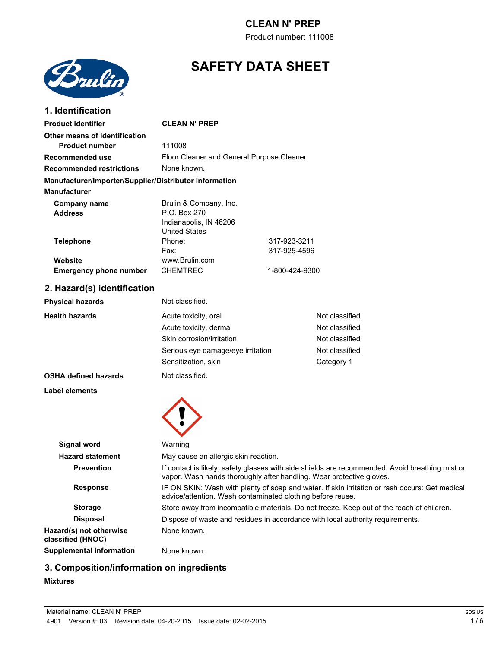Product number: 111008



# **SAFETY DATA SHEET**

| 1. Identification                                                             |                                                                                                                                                                         |                              |                |
|-------------------------------------------------------------------------------|-------------------------------------------------------------------------------------------------------------------------------------------------------------------------|------------------------------|----------------|
| <b>Product identifier</b>                                                     | <b>CLEAN N' PREP</b>                                                                                                                                                    |                              |                |
| Other means of identification<br><b>Product number</b>                        | 111008                                                                                                                                                                  |                              |                |
| <b>Recommended use</b>                                                        | Floor Cleaner and General Purpose Cleaner                                                                                                                               |                              |                |
| <b>Recommended restrictions</b>                                               | None known.                                                                                                                                                             |                              |                |
| Manufacturer/Importer/Supplier/Distributor information<br><b>Manufacturer</b> |                                                                                                                                                                         |                              |                |
| <b>Company name</b><br><b>Address</b>                                         | Brulin & Company, Inc.<br>P.O. Box 270<br>Indianapolis, IN 46206<br><b>United States</b>                                                                                |                              |                |
| <b>Telephone</b>                                                              | Phone:<br>Fax:                                                                                                                                                          | 317-923-3211<br>317-925-4596 |                |
| Website<br><b>Emergency phone number</b>                                      | www.Brulin.com<br><b>CHEMTREC</b>                                                                                                                                       | 1-800-424-9300               |                |
| 2. Hazard(s) identification                                                   |                                                                                                                                                                         |                              |                |
| <b>Physical hazards</b>                                                       | Not classified.                                                                                                                                                         |                              |                |
| <b>Health hazards</b>                                                         | Acute toxicity, oral                                                                                                                                                    |                              | Not classified |
|                                                                               | Acute toxicity, dermal                                                                                                                                                  |                              | Not classified |
|                                                                               | Skin corrosion/irritation                                                                                                                                               |                              | Not classified |
|                                                                               | Serious eye damage/eye irritation                                                                                                                                       |                              | Not classified |
|                                                                               | Sensitization, skin                                                                                                                                                     |                              | Category 1     |
| <b>OSHA defined hazards</b>                                                   | Not classified.                                                                                                                                                         |                              |                |
| Label elements                                                                |                                                                                                                                                                         |                              |                |
| <b>Signal word</b>                                                            | Warning                                                                                                                                                                 |                              |                |
| <b>Hazard statement</b>                                                       | May cause an allergic skin reaction.                                                                                                                                    |                              |                |
| <b>Prevention</b>                                                             | If contact is likely, safety glasses with side shields are recommended. Avoid breathing mist or<br>vapor. Wash hands thoroughly after handling. Wear protective gloves. |                              |                |
| <b>Response</b>                                                               | IF ON SKIN: Wash with plenty of soap and water. If skin irritation or rash occurs: Get medical<br>advice/attention. Wash contaminated clothing before reuse.            |                              |                |
| <b>Storage</b>                                                                | Store away from incompatible materials. Do not freeze. Keep out of the reach of children.                                                                               |                              |                |
| <b>Disposal</b>                                                               | Dispose of waste and residues in accordance with local authority requirements.                                                                                          |                              |                |
| Hazard(s) not otherwise<br>classified (HNOC)                                  | None known.                                                                                                                                                             |                              |                |
| <b>Supplemental information</b>                                               | None known.                                                                                                                                                             |                              |                |

# **3. Composition/information on ingredients**

### **Mixtures**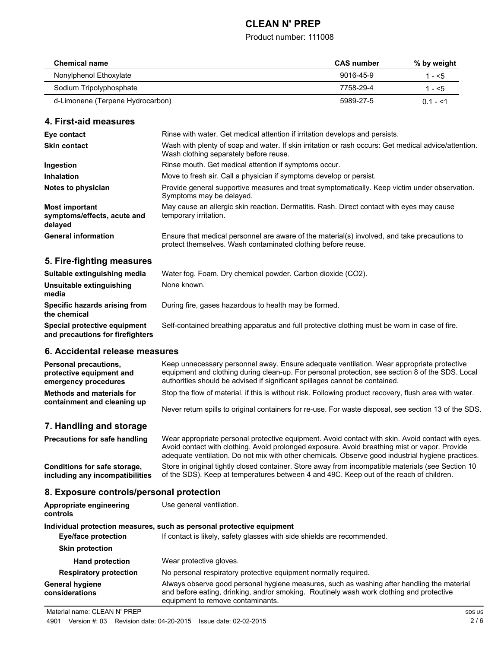### Product number: 111008

| <b>Chemical name</b>             | <b>CAS</b> number | % by weight |
|----------------------------------|-------------------|-------------|
| Nonylphenol Ethoxylate           | $9016 - 45 - 9$   | 1 - <5      |
| Sodium Tripolyphosphate          | 7758-29-4         | 1 - <5      |
| d-Limonene (Terpene Hydrocarbon) | 5989-27-5         | $0.1 - 5.1$ |

### **4. First-aid measures**

| Eye contact                                                     | Rinse with water. Get medical attention if irritation develops and persists.                                                                                 |
|-----------------------------------------------------------------|--------------------------------------------------------------------------------------------------------------------------------------------------------------|
| <b>Skin contact</b>                                             | Wash with plenty of soap and water. If skin irritation or rash occurs: Get medical advice/attention.<br>Wash clothing separately before reuse.               |
| Ingestion                                                       | Rinse mouth. Get medical attention if symptoms occur.                                                                                                        |
| <b>Inhalation</b>                                               | Move to fresh air. Call a physician if symptoms develop or persist.                                                                                          |
| Notes to physician                                              | Provide general supportive measures and treat symptomatically. Keep victim under observation.<br>Symptoms may be delayed.                                    |
| <b>Most important</b><br>symptoms/effects, acute and<br>delayed | May cause an allergic skin reaction. Dermatitis. Rash. Direct contact with eyes may cause<br>temporary irritation.                                           |
| <b>General information</b>                                      | Ensure that medical personnel are aware of the material(s) involved, and take precautions to<br>protect themselves. Wash contaminated clothing before reuse. |

# **5. Fire-fighting measures**

| Suitable extinguishing media                                     | Water fog. Foam. Dry chemical powder. Carbon dioxide (CO2).                                   |
|------------------------------------------------------------------|-----------------------------------------------------------------------------------------------|
| Unsuitable extinguishing<br>media                                | None known.                                                                                   |
| Specific hazards arising from<br>the chemical                    | During fire, gases hazardous to health may be formed.                                         |
| Special protective equipment<br>and precautions for firefighters | Self-contained breathing apparatus and full protective clothing must be worn in case of fire. |

## **6. Accidental release measures**

| <b>Personal precautions,</b><br>protective equipment and<br>emergency procedures | Keep unnecessary personnel away. Ensure adequate ventilation. Wear appropriate protective<br>equipment and clothing during clean-up. For personal protection, see section 8 of the SDS. Local<br>authorities should be advised if significant spillages cannot be contained.                            |
|----------------------------------------------------------------------------------|---------------------------------------------------------------------------------------------------------------------------------------------------------------------------------------------------------------------------------------------------------------------------------------------------------|
| Methods and materials for<br>containment and cleaning up                         | Stop the flow of material, if this is without risk. Following product recovery, flush area with water.                                                                                                                                                                                                  |
|                                                                                  | Never return spills to original containers for re-use. For waste disposal, see section 13 of the SDS.                                                                                                                                                                                                   |
| 7. Handling and storage                                                          |                                                                                                                                                                                                                                                                                                         |
| <b>Precautions for safe handling</b>                                             | Wear appropriate personal protective equipment. Avoid contact with skin. Avoid contact with eyes.<br>Avoid contact with clothing. Avoid prolonged exposure. Avoid breathing mist or vapor. Provide<br>adequate ventilation. Do not mix with other chemicals. Observe good industrial hygiene practices. |
| Conditions for safe storage,<br>including any incompatibilities                  | Store in original tightly closed container. Store away from incompatible materials (see Section 10<br>of the SDS). Keep at temperatures between 4 and 49C. Keep out of the reach of children.                                                                                                           |

# **8. Exposure controls/personal protection**

| Appropriate engineering<br>controls                                   | Use general ventilation.                                                                                                                                                                                                    |  |
|-----------------------------------------------------------------------|-----------------------------------------------------------------------------------------------------------------------------------------------------------------------------------------------------------------------------|--|
| Individual protection measures, such as personal protective equipment |                                                                                                                                                                                                                             |  |
| <b>Eye/face protection</b>                                            | If contact is likely, safety glasses with side shields are recommended.                                                                                                                                                     |  |
| <b>Skin protection</b>                                                |                                                                                                                                                                                                                             |  |
| <b>Hand protection</b>                                                | Wear protective gloves.                                                                                                                                                                                                     |  |
| <b>Respiratory protection</b>                                         | No personal respiratory protective equipment normally required.                                                                                                                                                             |  |
| <b>General hygiene</b><br>considerations                              | Always observe good personal hygiene measures, such as washing after handling the material<br>and before eating, drinking, and/or smoking. Routinely wash work clothing and protective<br>equipment to remove contaminants. |  |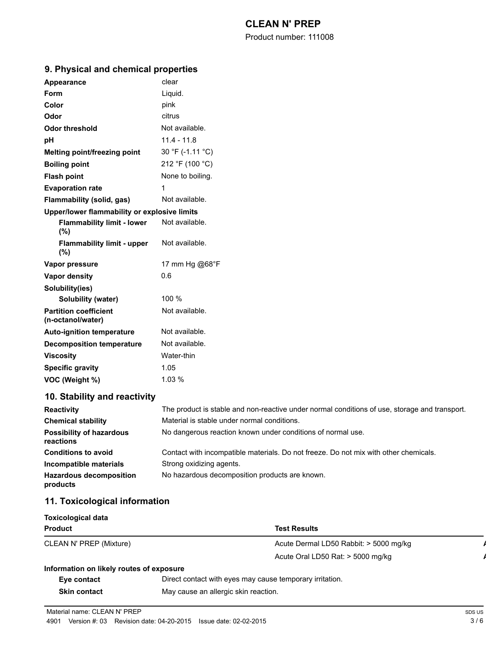Product number: 111008

| <b>Appearance</b>                                 | clear            |  |
|---------------------------------------------------|------------------|--|
| Form                                              | Liquid.          |  |
| Color                                             | pink             |  |
| Odor                                              | citrus           |  |
| <b>Odor threshold</b>                             | Not available.   |  |
| рH                                                | $11.4 - 11.8$    |  |
| Melting point/freezing point                      | 30 °F (-1.11 °C) |  |
| <b>Boiling point</b>                              | 212 °F (100 °C)  |  |
| <b>Flash point</b>                                | None to boiling. |  |
| <b>Evaporation rate</b>                           | 1                |  |
| Flammability (solid, gas)                         | Not available.   |  |
| Upper/lower flammability or explosive limits      |                  |  |
| <b>Flammability limit - lower</b><br>(%)          | Not available.   |  |
| <b>Flammability limit - upper</b><br>$(\%)$       | Not available.   |  |
| Vapor pressure                                    | 17 mm Hg @68°F   |  |
| Vapor density                                     | 0.6              |  |
| Solubility(ies)                                   |                  |  |
| Solubility (water)                                | 100 %            |  |
| <b>Partition coefficient</b><br>(n-octanol/water) | Not available.   |  |
| <b>Auto-ignition temperature</b>                  | Not available.   |  |
| <b>Decomposition temperature</b>                  | Not available.   |  |
| <b>Viscosity</b>                                  | Water-thin       |  |
| <b>Specific gravity</b>                           | 1.05             |  |
| VOC (Weight %)                                    | 1.03%            |  |

# **9. Physical and chemical properties**

# **10. Stability and reactivity**

| <b>Reactivity</b>                            | The product is stable and non-reactive under normal conditions of use, storage and transport. |
|----------------------------------------------|-----------------------------------------------------------------------------------------------|
| <b>Chemical stability</b>                    | Material is stable under normal conditions.                                                   |
| <b>Possibility of hazardous</b><br>reactions | No dangerous reaction known under conditions of normal use.                                   |
| <b>Conditions to avoid</b>                   | Contact with incompatible materials. Do not freeze. Do not mix with other chemicals.          |
| Incompatible materials                       | Strong oxidizing agents.                                                                      |
| <b>Hazardous decomposition</b><br>products   | No hazardous decomposition products are known.                                                |

# **11. Toxicological information**

| <b>Toxicological data</b>                |                                                          |  |  |
|------------------------------------------|----------------------------------------------------------|--|--|
| <b>Product</b>                           | <b>Test Results</b>                                      |  |  |
| CLEAN N' PREP (Mixture)                  | Acute Dermal LD50 Rabbit: > 5000 mg/kg                   |  |  |
|                                          | Acute Oral LD50 Rat: > 5000 mg/kg                        |  |  |
| Information on likely routes of exposure |                                                          |  |  |
| Eye contact                              | Direct contact with eyes may cause temporary irritation. |  |  |
| <b>Skin contact</b>                      | May cause an allergic skin reaction.                     |  |  |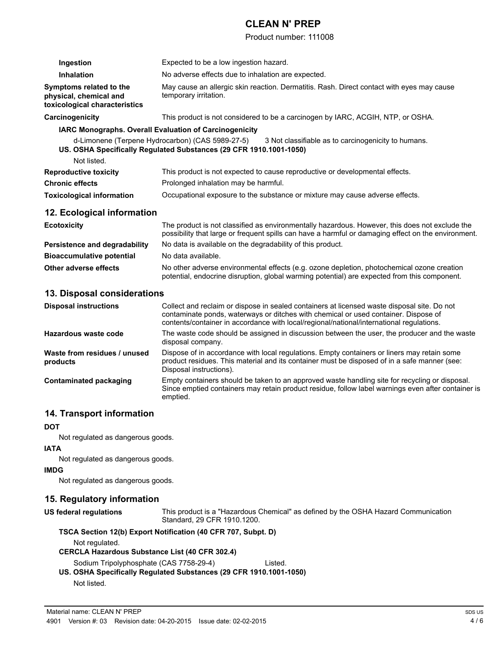Product number: 111008

| Ingestion                                                                          | Expected to be a low ingestion hazard.                                                                                                                                                                                                                                         |  |
|------------------------------------------------------------------------------------|--------------------------------------------------------------------------------------------------------------------------------------------------------------------------------------------------------------------------------------------------------------------------------|--|
| <b>Inhalation</b>                                                                  | No adverse effects due to inhalation are expected.                                                                                                                                                                                                                             |  |
| Symptoms related to the<br>physical, chemical and<br>toxicological characteristics | May cause an allergic skin reaction. Dermatitis. Rash. Direct contact with eyes may cause<br>temporary irritation.                                                                                                                                                             |  |
| Carcinogenicity                                                                    | This product is not considered to be a carcinogen by IARC, ACGIH, NTP, or OSHA.                                                                                                                                                                                                |  |
|                                                                                    | <b>IARC Monographs. Overall Evaluation of Carcinogenicity</b>                                                                                                                                                                                                                  |  |
|                                                                                    | d-Limonene (Terpene Hydrocarbon) (CAS 5989-27-5) 3 Not classifiable as to carcinogenicity to humans.<br>US. OSHA Specifically Regulated Substances (29 CFR 1910.1001-1050)                                                                                                     |  |
| Not listed.                                                                        |                                                                                                                                                                                                                                                                                |  |
| <b>Reproductive toxicity</b>                                                       | This product is not expected to cause reproductive or developmental effects.                                                                                                                                                                                                   |  |
| <b>Chronic effects</b>                                                             | Prolonged inhalation may be harmful.                                                                                                                                                                                                                                           |  |
| <b>Toxicological information</b>                                                   | Occupational exposure to the substance or mixture may cause adverse effects.                                                                                                                                                                                                   |  |
| 12. Ecological information                                                         |                                                                                                                                                                                                                                                                                |  |
| <b>Ecotoxicity</b>                                                                 | The product is not classified as environmentally hazardous. However, this does not exclude the<br>possibility that large or frequent spills can have a harmful or damaging effect on the environment.                                                                          |  |
| <b>Persistence and degradability</b>                                               | No data is available on the degradability of this product.                                                                                                                                                                                                                     |  |
| <b>Bioaccumulative potential</b>                                                   | No data available.                                                                                                                                                                                                                                                             |  |
| <b>Other adverse effects</b>                                                       | No other adverse environmental effects (e.g. ozone depletion, photochemical ozone creation<br>potential, endocrine disruption, global warming potential) are expected from this component.                                                                                     |  |
| 13. Disposal considerations                                                        |                                                                                                                                                                                                                                                                                |  |
| <b>Disposal instructions</b>                                                       | Collect and reclaim or dispose in sealed containers at licensed waste disposal site. Do not<br>contaminate ponds, waterways or ditches with chemical or used container. Dispose of<br>contents/container in accordance with local/regional/national/international regulations. |  |
| <b>Hazardous waste code</b>                                                        | The waste code should be assigned in discussion between the user, the producer and the waste<br>disposal company.                                                                                                                                                              |  |
| Waste from residues / unused<br>products                                           | Dispose of in accordance with local regulations. Empty containers or liners may retain some<br>product residues. This material and its container must be disposed of in a safe manner (see:<br>Disposal instructions).                                                         |  |
| <b>Contaminated packaging</b>                                                      | Empty containers should be taken to an approved waste handling site for recycling or disposal.<br>Since emptied containers may retain product residue, follow label warnings even after container is<br>emptied.                                                               |  |

### **14. Transport information**

#### **DOT**

Not regulated as dangerous goods.

### **IATA**

Not regulated as dangerous goods.

### **IMDG**

Not regulated as dangerous goods.

### **15. Regulatory information**

**US federal regulations** This product is a "Hazardous Chemical" as defined by the OSHA Hazard Communication Standard, 29 CFR 1910.1200.

| TSCA Section 12(b) Export Notification (40 CFR 707, Subpt. D) |
|---------------------------------------------------------------|
|                                                               |

Not regulated.

**CERCLA Hazardous Substance List (40 CFR 302.4)**

Sodium Tripolyphosphate (CAS 7758-29-4) Listed.

### **US. OSHA Specifically Regulated Substances (29 CFR 1910.1001-1050)** Not listed.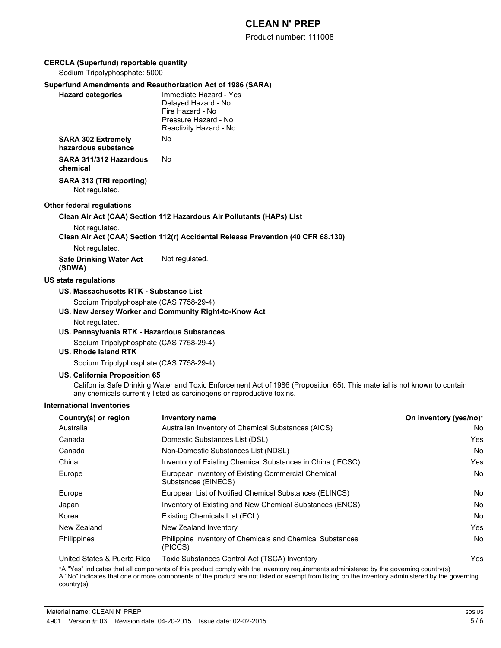Product number: 111008

### **CERCLA (Superfund) reportable quantity**

Sodium Tripolyphosphate: 5000

### **Superfund Amendments and Reauthorization Act of 1986 (SARA)**

| <b>Hazard categories</b>                         | Immediate Hazard - Yes<br>Delayed Hazard - No<br>Fire Hazard - No<br>Pressure Hazard - No<br>Reactivity Hazard - No |
|--------------------------------------------------|---------------------------------------------------------------------------------------------------------------------|
| <b>SARA 302 Extremely</b><br>hazardous substance | N٥                                                                                                                  |
| SARA 311/312 Hazardous<br>chemical               | N٥                                                                                                                  |
| SARA 313 (TRI reporting)<br>Not regulated.       |                                                                                                                     |

#### **Other federal regulations**

#### **Clean Air Act (CAA) Section 112 Hazardous Air Pollutants (HAPs) List**

Not regulated.

**Clean Air Act (CAA) Section 112(r) Accidental Release Prevention (40 CFR 68.130)**

Not regulated.

**Safe Drinking Water Act (SDWA)** Not regulated.

#### **US state regulations**

#### **US. Massachusetts RTK - Substance List**

Sodium Tripolyphosphate (CAS 7758-29-4)

### **US. New Jersey Worker and Community Right-to-Know Act**

Not regulated.

### **US. Pennsylvania RTK - Hazardous Substances**

Sodium Tripolyphosphate (CAS 7758-29-4)

### **US. Rhode Island RTK**

Sodium Tripolyphosphate (CAS 7758-29-4)

### **US. California Proposition 65**

California Safe Drinking Water and Toxic Enforcement Act of 1986 (Proposition 65): This material is not known to contain any chemicals currently listed as carcinogens or reproductive toxins.

#### **International Inventories**

| Country(s) or region        | <b>Inventory name</b>                                                     | On inventory (yes/no)* |
|-----------------------------|---------------------------------------------------------------------------|------------------------|
| Australia                   | Australian Inventory of Chemical Substances (AICS)                        | No                     |
| Canada                      | Domestic Substances List (DSL)                                            | Yes                    |
| Canada                      | Non-Domestic Substances List (NDSL)                                       | No                     |
| China                       | Inventory of Existing Chemical Substances in China (IECSC)                | Yes                    |
| Europe                      | European Inventory of Existing Commercial Chemical<br>Substances (EINECS) | No                     |
| Europe                      | European List of Notified Chemical Substances (ELINCS)                    | <b>No</b>              |
| Japan                       | Inventory of Existing and New Chemical Substances (ENCS)                  | No                     |
| Korea                       | Existing Chemicals List (ECL)                                             | No                     |
| New Zealand                 | New Zealand Inventory                                                     | Yes                    |
| Philippines                 | Philippine Inventory of Chemicals and Chemical Substances<br>(PICCS)      | No                     |
| United States & Puerto Rico | Toxic Substances Control Act (TSCA) Inventory                             | Yes                    |

\*A "Yes" indicates that all components of this product comply with the inventory requirements administered by the governing country(s) A "No" indicates that one or more components of the product are not listed or exempt from listing on the inventory administered by the governing country(s).